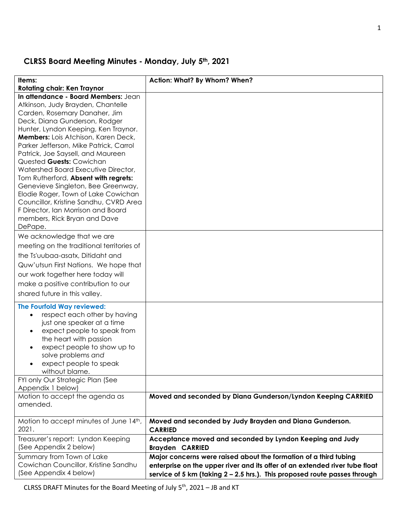# **CLRSS Board Meeting Minutes - Monday, July 5th, 2021**

| Items:                                                                    | Action: What? By Whom? When?                                                |
|---------------------------------------------------------------------------|-----------------------------------------------------------------------------|
| <b>Rotating chair: Ken Traynor</b><br>In attendance - Board Members: Jean |                                                                             |
| Atkinson, Judy Brayden, Chantelle                                         |                                                                             |
| Carden, Rosemary Danaher, Jim                                             |                                                                             |
| Deck, Diana Gunderson, Rodger                                             |                                                                             |
| Hunter, Lyndon Keeping, Ken Traynor.                                      |                                                                             |
| Members: Lois Atchison, Karen Deck,                                       |                                                                             |
| Parker Jefferson, Mike Patrick, Carrol                                    |                                                                             |
| Patrick, Joe Saysell, and Maureen                                         |                                                                             |
| Quested Guests: Cowichan                                                  |                                                                             |
| Watershed Board Executive Director,                                       |                                                                             |
| Tom Rutherford, Absent with regrets:                                      |                                                                             |
| Genevieve Singleton, Bee Greenway,                                        |                                                                             |
| Elodie Roger, Town of Lake Cowichan                                       |                                                                             |
| Councillor, Kristine Sandhu, CVRD Area                                    |                                                                             |
| F Director, Ian Morrison and Board                                        |                                                                             |
| members, Rick Bryan and Dave                                              |                                                                             |
| DePape.                                                                   |                                                                             |
| We acknowledge that we are                                                |                                                                             |
| meeting on the traditional territories of                                 |                                                                             |
|                                                                           |                                                                             |
| the Ts'uubaa-asatx, Ditidaht and                                          |                                                                             |
| Quw'utsun First Nations. We hope that                                     |                                                                             |
| our work together here today will                                         |                                                                             |
| make a positive contribution to our                                       |                                                                             |
| shared future in this valley.                                             |                                                                             |
| <b>The Fourfold Way reviewed:</b>                                         |                                                                             |
| respect each other by having<br>$\bullet$                                 |                                                                             |
| just one speaker at a time                                                |                                                                             |
| expect people to speak from<br>$\bullet$                                  |                                                                             |
| the heart with passion                                                    |                                                                             |
| expect people to show up to<br>٠                                          |                                                                             |
| solve problems and                                                        |                                                                             |
| expect people to speak<br>$\bullet$                                       |                                                                             |
| without blame.                                                            |                                                                             |
| FYI only Our Strategic Plan (See                                          |                                                                             |
| Appendix 1 below)                                                         |                                                                             |
| Motion to accept the agenda as                                            | Moved and seconded by Diana Gunderson/Lyndon Keeping CARRIED                |
| amended.                                                                  |                                                                             |
|                                                                           |                                                                             |
| Motion to accept minutes of June 14th,<br>2021.                           | Moved and seconded by Judy Brayden and Diana Gunderson.<br><b>CARRIED</b>   |
|                                                                           |                                                                             |
| Treasurer's report: Lyndon Keeping                                        | Acceptance moved and seconded by Lyndon Keeping and Judy                    |
| (See Appendix 2 below)                                                    | <b>Brayden CARRIED</b>                                                      |
| Summary from Town of Lake                                                 | Major concerns were raised about the formation of a third tubing            |
| Cowichan Councillor, Kristine Sandhu                                      | enterprise on the upper river and its offer of an extended river tube float |
| (See Appendix 4 below)                                                    | service of 5 km (taking 2 - 2.5 hrs.). This proposed route passes through   |

CLRSS DRAFT Minutes for the Board Meeting of July 5th, 2021 – JB and KT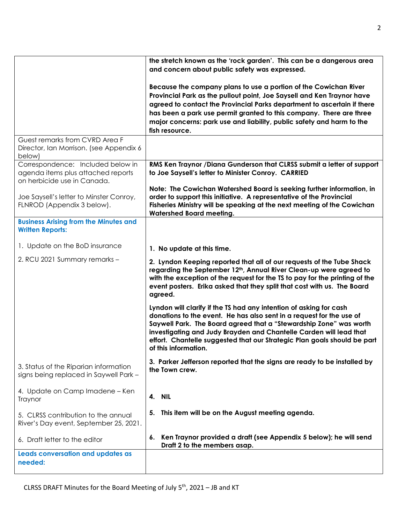|                                                                                                        | the stretch known as the 'rock garden'. This can be a dangerous area                                                                                                                                                                                                                                                                                                                       |  |  |
|--------------------------------------------------------------------------------------------------------|--------------------------------------------------------------------------------------------------------------------------------------------------------------------------------------------------------------------------------------------------------------------------------------------------------------------------------------------------------------------------------------------|--|--|
|                                                                                                        | and concern about public safety was expressed.                                                                                                                                                                                                                                                                                                                                             |  |  |
|                                                                                                        | Because the company plans to use a portion of the Cowichan River<br>Provincial Park as the pullout point, Joe Saysell and Ken Traynor have<br>agreed to contact the Provincial Parks department to ascertain if there<br>has been a park use permit granted to this company. There are three<br>major concerns: park use and liability, public safety and harm to the<br>fish resource.    |  |  |
| Guest remarks from CVRD Area F                                                                         |                                                                                                                                                                                                                                                                                                                                                                                            |  |  |
| Director, Ian Morrison. (see Appendix 6<br>below)                                                      |                                                                                                                                                                                                                                                                                                                                                                                            |  |  |
| Correspondence: Included below in<br>agenda items plus attached reports<br>on herbicide use in Canada. | RMS Ken Traynor / Diana Gunderson that CLRSS submit a letter of support<br>to Joe Saysell's letter to Minister Conroy. CARRIED                                                                                                                                                                                                                                                             |  |  |
| Joe Saysell's letter to Minster Conroy,<br>FLNROD (Appendix 3 below).                                  | Note: The Cowichan Watershed Board is seeking further information, in<br>order to support this initiative. A representative of the Provincial<br>Fisheries Ministry will be speaking at the next meeting of the Cowichan<br><b>Watershed Board meeting.</b>                                                                                                                                |  |  |
| <b>Business Arising from the Minutes and</b><br><b>Written Reports:</b>                                |                                                                                                                                                                                                                                                                                                                                                                                            |  |  |
| 1. Update on the BoD insurance                                                                         | 1. No update at this time.                                                                                                                                                                                                                                                                                                                                                                 |  |  |
| 2. RCU 2021 Summary remarks -                                                                          | 2. Lyndon Keeping reported that all of our requests of the Tube Shack<br>regarding the September 12 <sup>th</sup> , Annual River Clean-up were agreed to<br>with the exception of the request for the TS to pay for the printing of the<br>event posters. Erika asked that they split that cost with us. The Board<br>agreed.                                                              |  |  |
|                                                                                                        | Lyndon will clarify if the TS had any intention of asking for cash<br>donations to the event. He has also sent in a request for the use of<br>Saywell Park. The Board agreed that a "Stewardship Zone" was worth<br>investigating and Judy Brayden and Chantelle Carden will lead that<br>effort. Chantelle suggested that our Strategic Plan goals should be part<br>of this information. |  |  |
| 3. Status of the Riparian information<br>signs being replaced in Saywell Park -                        | 3. Parker Jefferson reported that the signs are ready to be installed by<br>the Town crew.                                                                                                                                                                                                                                                                                                 |  |  |
| 4. Update on Camp Imadene - Ken<br>Traynor                                                             | 4. NIL                                                                                                                                                                                                                                                                                                                                                                                     |  |  |
| 5. CLRSS contribution to the annual<br>River's Day event, September 25, 2021.                          | This item will be on the August meeting agenda.<br>5.                                                                                                                                                                                                                                                                                                                                      |  |  |
| 6. Draft letter to the editor                                                                          | Ken Traynor provided a draft (see Appendix 5 below); he will send<br>6.<br>Draft 2 to the members asap.                                                                                                                                                                                                                                                                                    |  |  |
| Leads conversation and updates as<br>needed:                                                           |                                                                                                                                                                                                                                                                                                                                                                                            |  |  |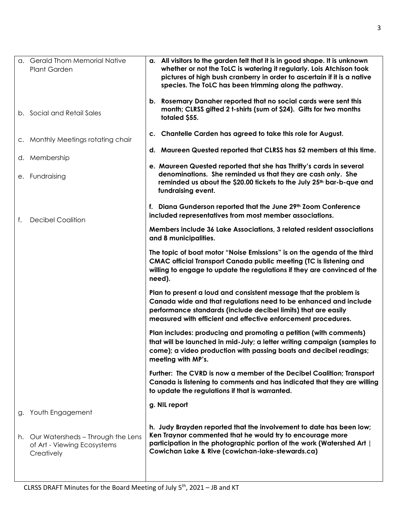|    | a. Gerald Thom Memorial Native<br><b>Plant Garden</b>                          | a. All visitors to the garden felt that it is in good shape. It is unknown<br>whether or not the ToLC is watering it regularly. Lois Atchison took<br>pictures of high bush cranberry in order to ascertain if it is a native<br>species. The ToLC has been trimming along the pathway. |
|----|--------------------------------------------------------------------------------|-----------------------------------------------------------------------------------------------------------------------------------------------------------------------------------------------------------------------------------------------------------------------------------------|
|    | b. Social and Retail Sales                                                     | b. Rosemary Danaher reported that no social cards were sent this<br>month; CLRSS gifted 2 t-shirts (sum of \$24). Gifts for two months<br>totaled \$55.                                                                                                                                 |
|    | c. Monthly Meetings rotating chair                                             | c. Chantelle Carden has agreed to take this role for August.                                                                                                                                                                                                                            |
|    | d. Membership                                                                  | d. Maureen Quested reported that CLRSS has 52 members at this time.                                                                                                                                                                                                                     |
|    | e. Fundraising                                                                 | e. Maureen Quested reported that she has Thrifty's cards in several<br>denominations. She reminded us that they are cash only. She<br>reminded us about the \$20.00 tickets to the July 25 <sup>th</sup> bar-b-que and<br>fundraising event.                                            |
| f. | <b>Decibel Coalition</b>                                                       | f. Diana Gunderson reported that the June 29th Zoom Conference<br>included representatives from most member associations.                                                                                                                                                               |
|    |                                                                                | Members include 36 Lake Associations, 3 related resident associations<br>and 8 municipalities.                                                                                                                                                                                          |
|    |                                                                                | The topic of boat motor "Noise Emissions" is on the agenda of the third<br>CMAC official Transport Canada public meeting (TC is listening and<br>willing to engage to update the regulations if they are convinced of the<br>need).                                                     |
|    |                                                                                | Plan to present a loud and consistent message that the problem is<br>Canada wide and that regulations need to be enhanced and include<br>performance standards (include decibel limits) that are easily<br>measured with efficient and effective enforcement procedures.                |
|    |                                                                                | Plan includes: producing and promoting a petition (with comments)<br>that will be launched in mid-July; a letter writing campaign (samples to<br>come); a video production with passing boats and decibel readings;<br>meeting with MP's.                                               |
|    |                                                                                | Further: The CVRD is now a member of the Decibel Coalition; Transport<br>Canada is listening to comments and has indicated that they are willing<br>to update the regulations if that is warranted.                                                                                     |
| g. | Youth Engagement                                                               | g. NIL report                                                                                                                                                                                                                                                                           |
| h. | Our Watersheds - Through the Lens<br>of Art - Viewing Ecosystems<br>Creatively | h. Judy Brayden reported that the involvement to date has been low;<br>Ken Traynor commented that he would try to encourage more<br>participation in the photographic portion of the work (Watershed Art  <br>Cowichan Lake & Rive (cowichan-lake-stewards.ca)                          |
|    |                                                                                |                                                                                                                                                                                                                                                                                         |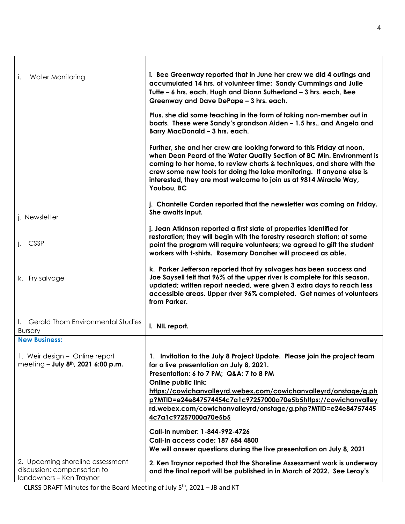| Water Monitoring<br>i.                                                                      | i. Bee Greenway reported that in June her crew we did 4 outings and<br>accumulated 14 hrs. of volunteer time: Sandy Cummings and Julie<br>Tutte - 6 hrs. each, Hugh and Diann Sutherland - 3 hrs. each, Bee<br>Greenway and Dave DePape - 3 hrs. each.                                                                                                                                                                        |
|---------------------------------------------------------------------------------------------|-------------------------------------------------------------------------------------------------------------------------------------------------------------------------------------------------------------------------------------------------------------------------------------------------------------------------------------------------------------------------------------------------------------------------------|
|                                                                                             | Plus. she did some teaching in the form of taking non-member out in<br>boats. These were Sandy's grandson Aiden - 1.5 hrs., and Angela and<br>Barry MacDonald - 3 hrs. each.                                                                                                                                                                                                                                                  |
|                                                                                             | Further, she and her crew are looking forward to this Friday at noon,<br>when Dean Peard of the Water Quality Section of BC Min. Environment is<br>coming to her home, to review charts & techniques, and share with the<br>crew some new tools for doing the lake monitoring. If anyone else is<br>interested, they are most welcome to join us at 9814 Miracle Way,<br>Youbou, BC                                           |
| j. Newsletter                                                                               | j. Chantelle Carden reported that the newsletter was coming on Friday.<br>She awaits input.                                                                                                                                                                                                                                                                                                                                   |
| <b>CSSP</b>                                                                                 | j. Jean Atkinson reported a first slate of properties identified for<br>restoration; they will begin with the forestry research station; at some<br>point the program will require volunteers; we agreed to gift the student<br>workers with t-shirts. Rosemary Danaher will proceed as able.                                                                                                                                 |
| k. Fry salvage                                                                              | k. Parker Jefferson reported that fry salvages has been success and<br>Joe Saysell felt that 96% of the upper river is complete for this season.<br>updated; written report needed, were given 3 extra days to reach less<br>accessible areas. Upper river 96% completed. Get names of volunteers<br>from Parker.                                                                                                             |
| <b>Gerald Thom Environmental Studies</b><br><b>Bursary</b>                                  | I. NIL report.                                                                                                                                                                                                                                                                                                                                                                                                                |
| <b>New Business:</b>                                                                        |                                                                                                                                                                                                                                                                                                                                                                                                                               |
| 1. Weir design - Online report<br>meeting $-$ July 8 <sup>th</sup> , 2021 6:00 p.m.         | 1. Invitation to the July 8 Project Update. Please join the project team<br>for a live presentation on July 8, 2021.<br>Presentation: 6 to 7 PM; Q&A: 7 to 8 PM<br><b>Online public link:</b><br>https://cowichanvalleyrd.webex.com/cowichanvalleyrd/onstage/g.ph<br>p?MTID=e24e847574454c7a1c97257000a70e5b5https://cowichanvalley<br>rd.webex.com/cowichanvalleyrd/onstage/g.php?MTID=e24e84757445<br>4c7a1c97257000a70e5b5 |
|                                                                                             | Call-in number: 1-844-992-4726                                                                                                                                                                                                                                                                                                                                                                                                |
|                                                                                             | Call-in access code: 187 684 4800<br>We will answer questions during the live presentation on July 8, 2021                                                                                                                                                                                                                                                                                                                    |
| 2. Upcoming shoreline assessment<br>discussion: compensation to<br>landowners - Ken Traynor | 2. Ken Traynor reported that the Shoreline Assessment work is underway<br>and the final report will be published in in March of 2022. See Leroy's                                                                                                                                                                                                                                                                             |

CLRSS DRAFT Minutes for the Board Meeting of July 5th, 2021 – JB and KT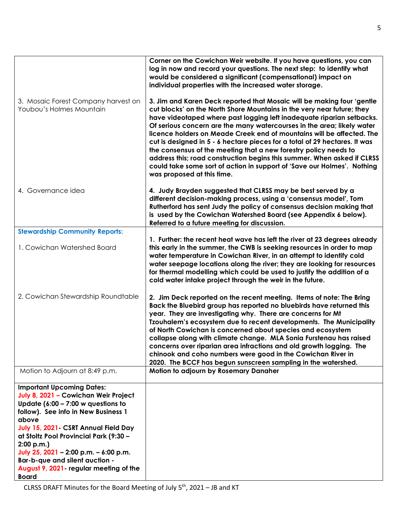|                                                                                      | Corner on the Cowichan Weir website. If you have questions, you can<br>log in now and record your questions. The next step: to identify what<br>would be considered a significant (compensational) impact on<br>individual properties with the increased water storage.                                                                                                                                                                                                                                                                                                                                                                                                                                            |
|--------------------------------------------------------------------------------------|--------------------------------------------------------------------------------------------------------------------------------------------------------------------------------------------------------------------------------------------------------------------------------------------------------------------------------------------------------------------------------------------------------------------------------------------------------------------------------------------------------------------------------------------------------------------------------------------------------------------------------------------------------------------------------------------------------------------|
| 3. Mosaic Forest Company harvest on<br>Youbou's Holmes Mountain                      | 3. Jim and Karen Deck reported that Mosaic will be making four 'gentle<br>cut blocks' on the North Shore Mountains in the very near future; they<br>have videotaped where past logging left inadequate riparian setbacks.<br>Of serious concern are the many watercourses in the area; likely water<br>licence holders on Meade Creek end of mountains will be affected. The<br>cut is designed in 5 - 6 hectare pieces for a total of 29 hectares. It was<br>the consensus of the meeting that a new forestry policy needs to<br>address this; road construction begins this summer. When asked if CLRSS<br>could take some sort of action in support of 'Save our Holmes'. Nothing<br>was proposed at this time. |
| 4. Governance idea                                                                   | 4. Judy Brayden suggested that CLRSS may be best served by a<br>different decision-making process, using a 'consensus model', Tom<br>Rutherford has sent Judy the policy of consensus decision making that<br>is used by the Cowichan Watershed Board (see Appendix 6 below).<br>Referred to a future meeting for discussion.                                                                                                                                                                                                                                                                                                                                                                                      |
| <b>Stewardship Community Reports:</b>                                                |                                                                                                                                                                                                                                                                                                                                                                                                                                                                                                                                                                                                                                                                                                                    |
| 1. Cowichan Watershed Board                                                          | 1. Further: the recent heat wave has left the river at 23 degrees already<br>this early in the summer, the CWB is seeking resources in order to map<br>water temperature in Cowichan River, in an attempt to identify cold<br>water seepage locations along the river; they are looking for resources<br>for thermal modelling which could be used to justify the addition of a<br>cold water intake project through the weir in the future.                                                                                                                                                                                                                                                                       |
| 2. Cowichan Stewardship Roundtable                                                   | 2. Jim Deck reported on the recent meeting. Items of note: The Bring<br>Back the Bluebird group has reported no bluebirds have returned this<br>year. They are investigating why. There are concerns for Mt<br>Tzouhalem's ecosystem due to recent developments. The Municipality<br>of North Cowichan is concerned about species and ecosystem<br>collapse along with climate change. MLA Sonia Furstenau has raised<br>concerns over riparian area infractions and old growth logging. The<br>chinook and coho numbers were good in the Cowichan River in<br>2020. The BCCF has begun sunscreen sampling in the watershed.                                                                                       |
| Motion to Adjourn at 8:49 p.m.                                                       | Motion to adjourn by Rosemary Danaher                                                                                                                                                                                                                                                                                                                                                                                                                                                                                                                                                                                                                                                                              |
| <b>Important Upcoming Dates:</b>                                                     |                                                                                                                                                                                                                                                                                                                                                                                                                                                                                                                                                                                                                                                                                                                    |
| July 8, 2021 - Cowichan Weir Project<br>Update $(6:00 - 7:00 \text{ w}$ questions to |                                                                                                                                                                                                                                                                                                                                                                                                                                                                                                                                                                                                                                                                                                                    |
| follow). See info in New Business 1                                                  |                                                                                                                                                                                                                                                                                                                                                                                                                                                                                                                                                                                                                                                                                                                    |
| above<br>July 15, 2021 - CSRT Annual Field Day                                       |                                                                                                                                                                                                                                                                                                                                                                                                                                                                                                                                                                                                                                                                                                                    |
| at Stoltz Pool Provincial Park (9:30 -                                               |                                                                                                                                                                                                                                                                                                                                                                                                                                                                                                                                                                                                                                                                                                                    |
| 2:00 p.m.                                                                            |                                                                                                                                                                                                                                                                                                                                                                                                                                                                                                                                                                                                                                                                                                                    |
| July 25, 2021 - 2:00 p.m. - 6:00 p.m.<br>Bar-b-que and silent auction -              |                                                                                                                                                                                                                                                                                                                                                                                                                                                                                                                                                                                                                                                                                                                    |
| August 9, 2021 - regular meeting of the                                              |                                                                                                                                                                                                                                                                                                                                                                                                                                                                                                                                                                                                                                                                                                                    |
| <b>Board</b>                                                                         |                                                                                                                                                                                                                                                                                                                                                                                                                                                                                                                                                                                                                                                                                                                    |

CLRSS DRAFT Minutes for the Board Meeting of July  $5<sup>th</sup>$ , 2021 – JB and KT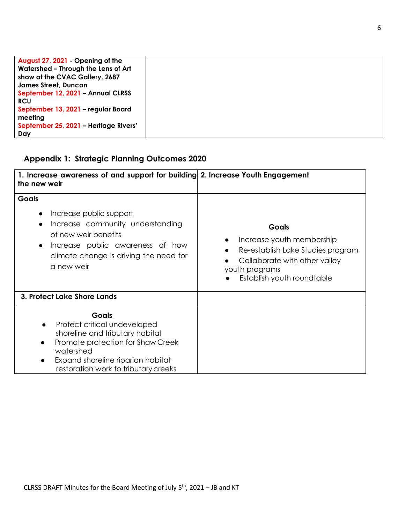| August 27, 2021 - Opening of the      |  |
|---------------------------------------|--|
| Watershed - Through the Lens of Art   |  |
| show at the CVAC Gallery, 2687        |  |
| <b>James Street, Duncan</b>           |  |
| September 12, 2021 - Annual CLRSS     |  |
| <b>RCU</b>                            |  |
| September 13, 2021 - regular Board    |  |
| meeting                               |  |
| September 25, 2021 - Heritage Rivers' |  |
| Dav                                   |  |

# **Appendix 1: Strategic Planning Outcomes 2020**

| 1. Increase awareness of and support for building 2. Increase Youth Engagement<br>the new weir                                                                                                                                         |                                                                                                                                                                 |
|----------------------------------------------------------------------------------------------------------------------------------------------------------------------------------------------------------------------------------------|-----------------------------------------------------------------------------------------------------------------------------------------------------------------|
| <b>Goals</b><br>Increase public support<br>$\bullet$<br>Increase community understanding<br>$\bullet$<br>of new weir benefits<br>Increase public awareness of how<br>$\bullet$<br>climate change is driving the need for<br>a new weir | <b>Goals</b><br>Increase youth membership<br>Re-establish Lake Studies program<br>Collaborate with other valley<br>youth programs<br>Establish youth roundtable |
| 3. Protect Lake Shore Lands                                                                                                                                                                                                            |                                                                                                                                                                 |
| <b>Goals</b><br>Protect critical undeveloped<br>shoreline and tributary habitat<br>Promote protection for Shaw Creek<br>watershed<br>Expand shoreline riparian habitat<br>restoration work to tributary creeks                         |                                                                                                                                                                 |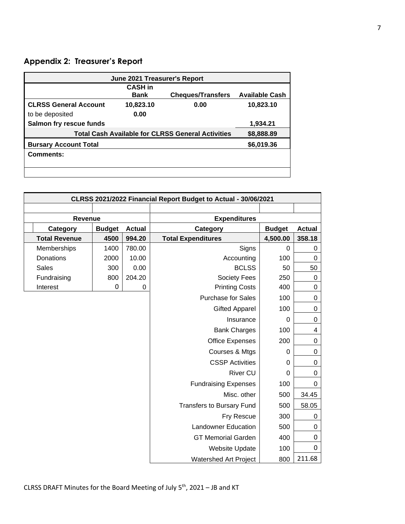# **Appendix 2: Treasurer's Report**

| June 2021 Treasurer's Report                                           |                |                          |                       |  |  |
|------------------------------------------------------------------------|----------------|--------------------------|-----------------------|--|--|
|                                                                        | <b>CASH</b> in |                          |                       |  |  |
|                                                                        | <b>Bank</b>    | <b>Cheques/Transfers</b> | <b>Available Cash</b> |  |  |
| <b>CLRSS General Account</b>                                           | 10,823.10      | 0.00                     | 10,823.10             |  |  |
| to be deposited                                                        | 0.00           |                          |                       |  |  |
| Salmon fry rescue funds                                                |                |                          | 1,934.21              |  |  |
| <b>Total Cash Available for CLRSS General Activities</b><br>\$8,888.89 |                |                          |                       |  |  |
| <b>Bursary Account Total</b>                                           |                |                          | \$6,019.36            |  |  |
| <b>Comments:</b>                                                       |                |                          |                       |  |  |
|                                                                        |                |                          |                       |  |  |
|                                                                        |                |                          |                       |  |  |

| CLRSS 2021/2022 Financial Report Budget to Actual - 30/06/2021 |               |               |                                  |                |               |
|----------------------------------------------------------------|---------------|---------------|----------------------------------|----------------|---------------|
|                                                                |               |               |                                  |                |               |
| Revenue                                                        |               |               | <b>Expenditures</b>              |                |               |
| Category                                                       | <b>Budget</b> | <b>Actual</b> | Category                         | <b>Budget</b>  | <b>Actual</b> |
| <b>Total Revenue</b>                                           | 4500          | 994.20        | <b>Total Expenditures</b>        | 4,500.00       | 358.18        |
| Memberships                                                    | 1400          | 780.00        | Signs                            | 0              | 0             |
| Donations                                                      | 2000          | 10.00         | Accounting                       | 100            | 0             |
| <b>Sales</b>                                                   | 300           | 0.00          | <b>BCLSS</b>                     | 50             | 50            |
| Fundraising                                                    | 800           | 204.20        | <b>Society Fees</b>              | 250            | $\mathbf 0$   |
| Interest                                                       | 0             | 0             | <b>Printing Costs</b>            | 400            | 0             |
|                                                                |               |               | <b>Purchase for Sales</b>        | 100            | 0             |
|                                                                |               |               | <b>Gifted Apparel</b>            | 100            | 0             |
|                                                                |               |               | Insurance                        | $\overline{0}$ | 0             |
|                                                                |               |               | <b>Bank Charges</b>              | 100            | 4             |
|                                                                |               |               | <b>Office Expenses</b>           | 200            | 0             |
|                                                                |               |               | Courses & Mtgs                   | 0              | 0             |
|                                                                |               |               | <b>CSSP Activities</b>           | 0              | 0             |
|                                                                |               |               | <b>River CU</b>                  | 0              | 0             |
|                                                                |               |               | <b>Fundraising Expenses</b>      | 100            | 0             |
|                                                                |               |               | Misc. other                      | 500            | 34.45         |
|                                                                |               |               | <b>Transfers to Bursary Fund</b> | 500            | 58.05         |
|                                                                |               |               | Fry Rescue                       | 300            | 0             |
|                                                                |               |               | <b>Landowner Education</b>       | 500            | 0             |
|                                                                |               |               | <b>GT Memorial Garden</b>        | 400            | 0             |
|                                                                |               |               | Website Update                   | 100            | $\mathbf{0}$  |
|                                                                |               |               | <b>Watershed Art Project</b>     | 800            | 211.68        |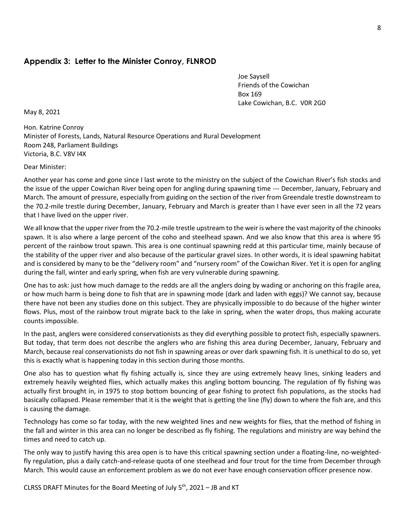### **Appendix 3: Letter to the Minister Conroy, FLNROD**

Joe Saysell Friends of the Cowichan Box 169 Lake Cowichan, B.C. V0R 2G0

May 8, 2021

Hon. Katrine Conroy Minister of Forests, Lands, Natural Resource Operations and Rural Development Room 248, Parliament Buildings Victoria, B.C. V8V I4X

Dear Minister:

Another year has come and gone since I last wrote to the ministry on the subject of the Cowichan River's fish stocks and the issue of the upper Cowichan River being open for angling during spawning time --- December, January, February and March. The amount of pressure, especially from guiding on the section of the river from Greendale trestle downstream to the 70.2-mile trestle during December, January, February and March is greater than I have ever seen in all the 72 years that I have lived on the upper river.

We all know that the upper river from the 70.2-mile trestle upstream to the weir is where the vast majority of the chinooks spawn. It is also where a large percent of the coho and steelhead spawn. And we also know that this area is where 95 percent of the rainbow trout spawn. This area is one continual spawning redd at this particular time, mainly because of the stability of the upper river and also because of the particular gravel sizes. In other words, it is ideal spawning habitat and is considered by many to be the "delivery room" and "nursery room" of the Cowichan River. Yet it is open for angling during the fall, winter and early spring, when fish are very vulnerable during spawning.

One has to ask: just how much damage to the redds are all the anglers doing by wading or anchoring on this fragile area, or how much harm is being done to fish that are in spawning mode (dark and laden with eggs)? We cannot say, because there have not been any studies done on this subject. They are physically impossible to do because of the higher winter flows. Plus, most of the rainbow trout migrate back to the lake in spring, when the water drops, thus making accurate counts impossible.

In the past, anglers were considered conservationists as they did everything possible to protect fish, especially spawners. But today, that term does not describe the anglers who are fishing this area during December, January, February and March, because real conservationists do not fish in spawning areas or over dark spawning fish. It is unethical to do so, yet this is exactly what is happening today in this section during those months.

One also has to question what fly fishing actually is, since they are using extremely heavy lines, sinking leaders and extremely heavily weighted flies, which actually makes this angling bottom bouncing. The regulation of fly fishing was actually first brought in, in 1975 to stop bottom bouncing of gear fishing to protect fish populations, as the stocks had basically collapsed. Please remember that it is the weight that is getting the line (fly) down to where the fish are, and this is causing the damage.

Technology has come so far today, with the new weighted lines and new weights for flies, that the method of fishing in the fall and winter in this area can no longer be described as fly fishing. The regulations and ministry are way behind the times and need to catch up.

The only way to justify having this area open is to have this critical spawning section under a floating-line, no-weightedfly regulation, plus a daily catch-and-release quota of one steelhead and four trout for the time from December through March. This would cause an enforcement problem as we do not ever have enough conservation officer presence now.

CLRSS DRAFT Minutes for the Board Meeting of July  $5<sup>th</sup>$ , 2021 – JB and KT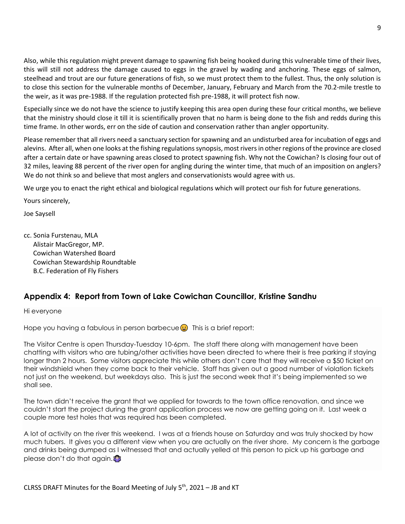Also, while this regulation might prevent damage to spawning fish being hooked during this vulnerable time of their lives, this will still not address the damage caused to eggs in the gravel by wading and anchoring. These eggs of salmon, steelhead and trout are our future generations of fish, so we must protect them to the fullest. Thus, the only solution is to close this section for the vulnerable months of December, January, February and March from the 70.2-mile trestle to the weir, as it was pre-1988. If the regulation protected fish pre-1988, it will protect fish now.

Especially since we do not have the science to justify keeping this area open during these four critical months, we believe that the ministry should close it till it is scientifically proven that no harm is being done to the fish and redds during this time frame. In other words, err on the side of caution and conservation rather than angler opportunity.

Please remember that all rivers need a sanctuary section for spawning and an undisturbed area for incubation of eggs and alevins. After all, when one looks at the fishing regulations synopsis, most riversin other regions of the province are closed after a certain date or have spawning areas closed to protect spawning fish. Why not the Cowichan? Is closing four out of 32 miles, leaving 88 percent of the river open for angling during the winter time, that much of an imposition on anglers? We do not think so and believe that most anglers and conservationists would agree with us.

We urge you to enact the right ethical and biological regulations which will protect our fish for future generations.

Yours sincerely,

Joe Saysell

cc. Sonia Furstenau, MLA Alistair MacGregor, MP. Cowichan Watershed Board Cowichan Stewardship Roundtable B.C. Federation of Fly Fishers

## **Appendix 4: Report from Town of Lake Cowichan Councillor, Kristine Sandhu**

Hi everyone

Hope you having a fabulous in person barbecue  $\bigoplus$  This is a brief report:

The Visitor Centre is open Thursday-Tuesday 10-6pm. The staff there along with management have been chatting with visitors who are tubing/other activities have been directed to where their is free parking if staying longer than 2 hours. Some visitors appreciate this while others don't care that they will receive a \$50 ticket on their windshield when they come back to their vehicle. Staff has given out a good number of violation tickets not just on the weekend, but weekdays also. This is just the second week that it's being implemented so we shall see.

The town didn't receive the grant that we applied for towards to the town office renovation, and since we couldn't start the project during the grant application process we now are getting going on it. Last week a couple more test holes that was required has been completed.

A lot of activity on the river this weekend. I was at a friends house on Saturday and was truly shocked by how much tubers. It gives you a different view when you are actually on the river shore. My concern is the garbage and drinks being dumped as I witnessed that and actually yelled at this person to pick up his garbage and please don't do that again.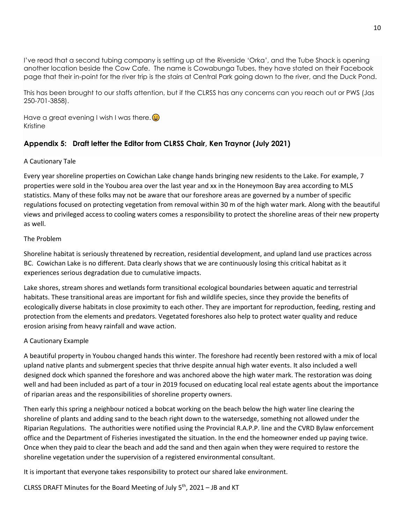I've read that a second tubing company is setting up at the Riverside 'Orka', and the Tube Shack is opening another location beside the Cow Cafe. The name is Cowabunga Tubes, they have stated on their Facebook page that their in-point for the river trip is the stairs at Central Park going down to the river, and the Duck Pond.

This has been brought to our staffs attention, but if the CLRSS has any concerns can you reach out or PWS (Jas 250-701-3858).

Have a great evening I wish I was there. Kristine

## **Appendix 5: Draft letter the Editor from CLRSS Chair, Ken Traynor (July 2021)**

#### A Cautionary Tale

Every year shoreline properties on Cowichan Lake change hands bringing new residents to the Lake. For example, 7 properties were sold in the Youbou area over the last year and xx in the Honeymoon Bay area according to MLS statistics. Many of these folks may not be aware that our foreshore areas are governed by a number of specific regulations focused on protecting vegetation from removal within 30 m of the high water mark. Along with the beautiful views and privileged access to cooling waters comes a responsibility to protect the shoreline areas of their new property as well.

#### The Problem

Shoreline habitat is seriously threatened by recreation, residential development, and upland land use practices across BC. Cowichan Lake is no different. Data clearly shows that we are continuously losing this critical habitat as it experiences serious degradation due to cumulative impacts.

Lake shores, stream shores and wetlands form transitional ecological boundaries between aquatic and terrestrial habitats. These transitional areas are important for fish and wildlife species, since they provide the benefits of ecologically diverse habitats in close proximity to each other. They are important for reproduction, feeding, resting and protection from the elements and predators. Vegetated foreshores also help to protect water quality and reduce erosion arising from heavy rainfall and wave action.

#### A Cautionary Example

A beautiful property in Youbou changed hands this winter. The foreshore had recently been restored with a mix of local upland native plants and submergent species that thrive despite annual high water events. It also included a well designed dock which spanned the foreshore and was anchored above the high water mark. The restoration was doing well and had been included as part of a tour in 2019 focused on educating local real estate agents about the importance of riparian areas and the responsibilities of shoreline property owners.

Then early this spring a neighbour noticed a bobcat working on the beach below the high water line clearing the shoreline of plants and adding sand to the beach right down to the watersedge, something not allowed under the Riparian Regulations. The authorities were notified using the Provincial R.A.P.P. line and the CVRD Bylaw enforcement office and the Department of Fisheries investigated the situation. In the end the homeowner ended up paying twice. Once when they paid to clear the beach and add the sand and then again when they were required to restore the shoreline vegetation under the supervision of a registered environmental consultant.

It is important that everyone takes responsibility to protect our shared lake environment.

CLRSS DRAFT Minutes for the Board Meeting of July  $5<sup>th</sup>$ , 2021 – JB and KT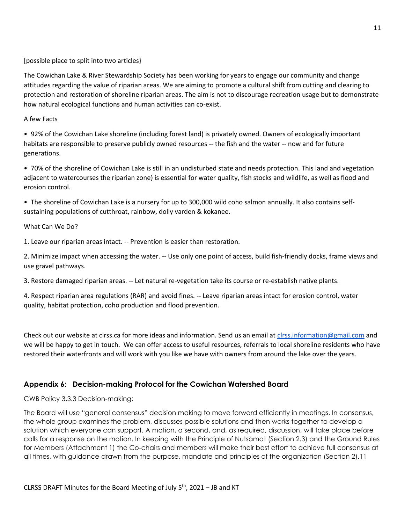#### [possible place to split into two articles}

The Cowichan Lake & River Stewardship Society has been working for years to engage our community and change attitudes regarding the value of riparian areas. We are aiming to promote a cultural shift from cutting and clearing to protection and restoration of shoreline riparian areas. The aim is not to discourage recreation usage but to demonstrate how natural ecological functions and human activities can co-exist.

#### A few Facts

• 92% of the Cowichan Lake shoreline (including forest land) is privately owned. Owners of ecologically important habitats are responsible to preserve publicly owned resources -- the fish and the water -- now and for future generations.

• 70% of the shoreline of Cowichan Lake is still in an undisturbed state and needs protection. This land and vegetation adjacent to watercourses the riparian zone) is essential for water quality, fish stocks and wildlife, as well as flood and erosion control.

• The shoreline of Cowichan Lake is a nursery for up to 300,000 wild coho salmon annually. It also contains selfsustaining populations of cutthroat, rainbow, dolly varden & kokanee.

#### What Can We Do?

1. Leave our riparian areas intact. -- Prevention is easier than restoration.

2. Minimize impact when accessing the water. -- Use only one point of access, build fish-friendly docks, frame views and use gravel pathways.

3. Restore damaged riparian areas. -- Let natural re-vegetation take its course or re-establish native plants.

4. Respect riparian area regulations (RAR) and avoid fines. -- Leave riparian areas intact for erosion control, water quality, habitat protection, coho production and flood prevention.

Check out our website at clrss.ca for more ideas and information. Send us an email at [clrss.information@gmail.com](mailto:clrss.information@gmail.com) and we will be happy to get in touch. We can offer access to useful resources, referrals to local shoreline residents who have restored their waterfronts and will work with you like we have with owners from around the lake over the years.

### **Appendix 6: Decision-making Protocol for the Cowichan Watershed Board**

### CWB Policy 3.3.3 Decision-making:

The Board will use "general consensus" decision making to move forward efficiently in meetings. In consensus, the whole group examines the problem, discusses possible solutions and then works together to develop a solution which everyone can support. A motion, a second, and, as required, discussion, will take place before calls for a response on the motion. In keeping with the Principle of Nutsamat (Section 2.3) and the Ground Rules for Members (Attachment 1) the Co-chairs and members will make their best effort to achieve full consensus at all times, with guidance drawn from the purpose, mandate and principles of the organization (Section 2).11